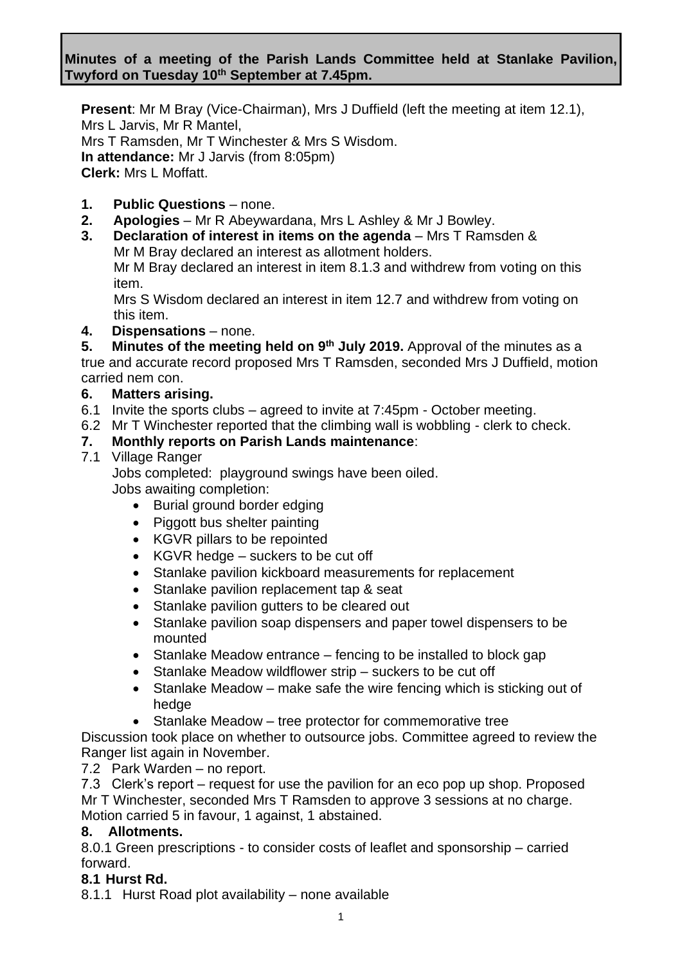## **Minutes of a meeting of the Parish Lands Committee held at Stanlake Pavilion, Twyford on Tuesday 10th September at 7.45pm.**

**Present**: Mr M Bray (Vice-Chairman), Mrs J Duffield (left the meeting at item 12.1), Mrs L Jarvis, Mr R Mantel, Mrs T Ramsden, Mr T Winchester & Mrs S Wisdom. **In attendance:** Mr J Jarvis (from 8:05pm) **Clerk:** Mrs L Moffatt.

## **1. Public Questions** – none.

- **2. Apologies** Mr R Abeywardana, Mrs L Ashley & Mr J Bowley.
- **3. Declaration of interest in items on the agenda** Mrs T Ramsden & Mr M Bray declared an interest as allotment holders. Mr M Bray declared an interest in item 8.1.3 and withdrew from voting on this

item. Mrs S Wisdom declared an interest in item 12.7 and withdrew from voting on this item.

**4. Dispensations** – none.

**5.** Minutes of the meeting held on 9<sup>th</sup> July 2019. Approval of the minutes as a true and accurate record proposed Mrs T Ramsden, seconded Mrs J Duffield, motion carried nem con.

### **6. Matters arising.**

- 6.1 Invite the sports clubs agreed to invite at 7:45pm October meeting.
- 6.2 Mr T Winchester reported that the climbing wall is wobbling clerk to check.

### **7. Monthly reports on Parish Lands maintenance**:

### 7.1 Village Ranger

Jobs completed: playground swings have been oiled. Jobs awaiting completion:

- Burial ground border edging
- Piggott bus shelter painting
- KGVR pillars to be repointed
- KGVR hedge suckers to be cut off
- Stanlake pavilion kickboard measurements for replacement
- Stanlake pavilion replacement tap & seat
- Stanlake pavilion gutters to be cleared out
- Stanlake pavilion soap dispensers and paper towel dispensers to be mounted
- Stanlake Meadow entrance fencing to be installed to block gap
- Stanlake Meadow wildflower strip suckers to be cut off
- Stanlake Meadow make safe the wire fencing which is sticking out of hedge
- Stanlake Meadow tree protector for commemorative tree

Discussion took place on whether to outsource jobs. Committee agreed to review the Ranger list again in November.

7.2 Park Warden – no report.

7.3 Clerk's report – request for use the pavilion for an eco pop up shop. Proposed Mr T Winchester, seconded Mrs T Ramsden to approve 3 sessions at no charge. Motion carried 5 in favour, 1 against, 1 abstained.

### **8. Allotments.**

8.0.1 Green prescriptions - to consider costs of leaflet and sponsorship – carried forward.

### **8.1 Hurst Rd.**

8.1.1 Hurst Road plot availability – none available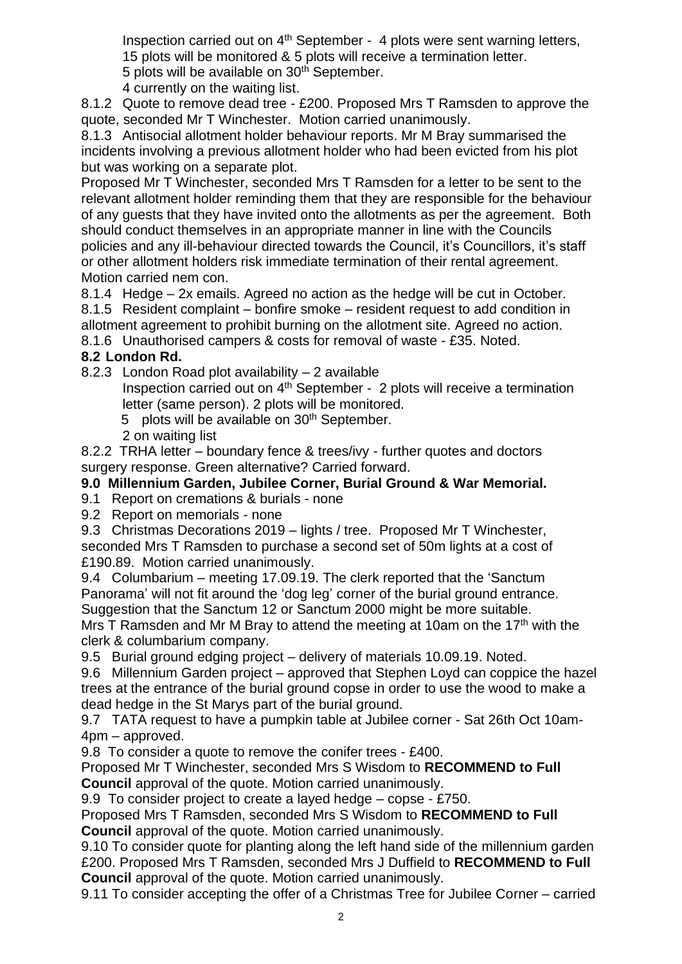Inspection carried out on  $4<sup>th</sup>$  September - 4 plots were sent warning letters, 15 plots will be monitored & 5 plots will receive a termination letter. 5 plots will be available on 30<sup>th</sup> September.

4 currently on the waiting list.

8.1.2 Quote to remove dead tree - £200. Proposed Mrs T Ramsden to approve the quote, seconded Mr T Winchester. Motion carried unanimously.

8.1.3 Antisocial allotment holder behaviour reports. Mr M Bray summarised the incidents involving a previous allotment holder who had been evicted from his plot but was working on a separate plot.

Proposed Mr T Winchester, seconded Mrs T Ramsden for a letter to be sent to the relevant allotment holder reminding them that they are responsible for the behaviour of any guests that they have invited onto the allotments as per the agreement. Both should conduct themselves in an appropriate manner in line with the Councils policies and any ill-behaviour directed towards the Council, it's Councillors, it's staff or other allotment holders risk immediate termination of their rental agreement. Motion carried nem con.

8.1.4 Hedge – 2x emails. Agreed no action as the hedge will be cut in October. 8.1.5 Resident complaint – bonfire smoke – resident request to add condition in allotment agreement to prohibit burning on the allotment site. Agreed no action.

8.1.6 Unauthorised campers & costs for removal of waste - £35. Noted.

# **8.2 London Rd.**

8.2.3 London Road plot availability – 2 available

Inspection carried out on  $4<sup>th</sup>$  September - 2 plots will receive a termination letter (same person). 2 plots will be monitored.

5 plots will be available on 30<sup>th</sup> September.

2 on waiting list

8.2.2 TRHA letter – boundary fence & trees/ivy - further quotes and doctors surgery response. Green alternative? Carried forward.

**9.0 Millennium Garden, Jubilee Corner, Burial Ground & War Memorial.**

9.1 Report on cremations & burials - none

9.2 Report on memorials - none

9.3 Christmas Decorations 2019 – lights / tree. Proposed Mr T Winchester, seconded Mrs T Ramsden to purchase a second set of 50m lights at a cost of £190.89. Motion carried unanimously.

9.4 Columbarium – meeting 17.09.19. The clerk reported that the 'Sanctum Panorama' will not fit around the 'dog leg' corner of the burial ground entrance. Suggestion that the Sanctum 12 or Sanctum 2000 might be more suitable.

Mrs T Ramsden and Mr M Bray to attend the meeting at 10am on the 17<sup>th</sup> with the clerk & columbarium company.

9.5 Burial ground edging project – delivery of materials 10.09.19. Noted.

9.6 Millennium Garden project – approved that Stephen Loyd can coppice the hazel trees at the entrance of the burial ground copse in order to use the wood to make a dead hedge in the St Marys part of the burial ground.

9.7 TATA request to have a pumpkin table at Jubilee corner - Sat 26th Oct 10am-4pm – approved.

9.8 To consider a quote to remove the conifer trees - £400.

Proposed Mr T Winchester, seconded Mrs S Wisdom to **RECOMMEND to Full Council** approval of the quote. Motion carried unanimously.

9.9 To consider project to create a layed hedge – copse - £750.

Proposed Mrs T Ramsden, seconded Mrs S Wisdom to **RECOMMEND to Full Council** approval of the quote. Motion carried unanimously.

9.10 To consider quote for planting along the left hand side of the millennium garden £200. Proposed Mrs T Ramsden, seconded Mrs J Duffield to **RECOMMEND to Full Council** approval of the quote. Motion carried unanimously.

9.11 To consider accepting the offer of a Christmas Tree for Jubilee Corner – carried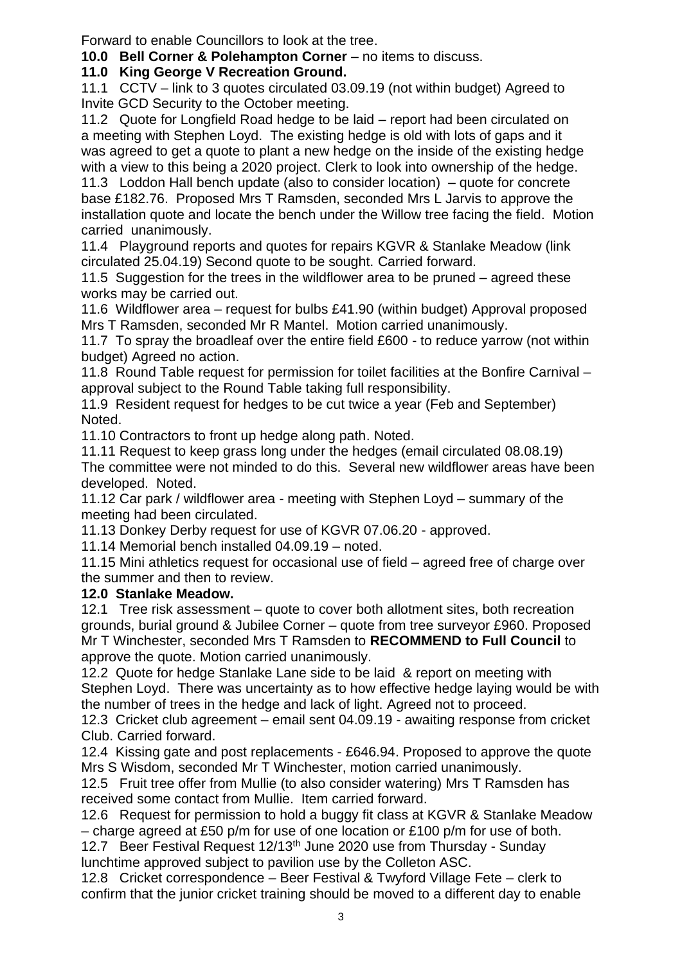Forward to enable Councillors to look at the tree.

**10.0 Bell Corner & Polehampton Corner** – no items to discuss.

**11.0 King George V Recreation Ground.**

11.1 CCTV – link to 3 quotes circulated 03.09.19 (not within budget) Agreed to Invite GCD Security to the October meeting.

11.2 Quote for Longfield Road hedge to be laid – report had been circulated on a meeting with Stephen Loyd. The existing hedge is old with lots of gaps and it was agreed to get a quote to plant a new hedge on the inside of the existing hedge with a view to this being a 2020 project. Clerk to look into ownership of the hedge. 11.3 Loddon Hall bench update (also to consider location) – quote for concrete base £182.76. Proposed Mrs T Ramsden, seconded Mrs L Jarvis to approve the installation quote and locate the bench under the Willow tree facing the field. Motion carried unanimously.

11.4 Playground reports and quotes for repairs KGVR & Stanlake Meadow (link circulated 25.04.19) Second quote to be sought. Carried forward.

11.5 Suggestion for the trees in the wildflower area to be pruned – agreed these works may be carried out.

11.6 Wildflower area – request for bulbs £41.90 (within budget) Approval proposed Mrs T Ramsden, seconded Mr R Mantel. Motion carried unanimously.

11.7 To spray the broadleaf over the entire field £600 - to reduce yarrow (not within budget) Agreed no action.

11.8 Round Table request for permission for toilet facilities at the Bonfire Carnival – approval subject to the Round Table taking full responsibility.

11.9 Resident request for hedges to be cut twice a year (Feb and September) Noted.

11.10 Contractors to front up hedge along path. Noted.

11.11 Request to keep grass long under the hedges (email circulated 08.08.19) The committee were not minded to do this. Several new wildflower areas have been developed. Noted.

11.12 Car park / wildflower area - meeting with Stephen Loyd – summary of the meeting had been circulated.

11.13 Donkey Derby request for use of KGVR 07.06.20 - approved.

11.14 Memorial bench installed 04.09.19 – noted.

11.15 Mini athletics request for occasional use of field – agreed free of charge over the summer and then to review.

# **12.0 Stanlake Meadow.**

12.1 Tree risk assessment – quote to cover both allotment sites, both recreation grounds, burial ground & Jubilee Corner – quote from tree surveyor £960. Proposed Mr T Winchester, seconded Mrs T Ramsden to **RECOMMEND to Full Council** to approve the quote. Motion carried unanimously.

12.2 Quote for hedge Stanlake Lane side to be laid & report on meeting with Stephen Loyd. There was uncertainty as to how effective hedge laying would be with the number of trees in the hedge and lack of light. Agreed not to proceed.

12.3 Cricket club agreement – email sent 04.09.19 - awaiting response from cricket Club. Carried forward.

12.4 Kissing gate and post replacements - £646.94. Proposed to approve the quote Mrs S Wisdom, seconded Mr T Winchester, motion carried unanimously.

12.5 Fruit tree offer from Mullie (to also consider watering) Mrs T Ramsden has received some contact from Mullie. Item carried forward.

12.6 Request for permission to hold a buggy fit class at KGVR & Stanlake Meadow – charge agreed at £50 p/m for use of one location or £100 p/m for use of both.

12.7 Beer Festival Request 12/13th June 2020 use from Thursday - Sunday lunchtime approved subject to pavilion use by the Colleton ASC.

12.8 Cricket correspondence – Beer Festival & Twyford Village Fete – clerk to confirm that the junior cricket training should be moved to a different day to enable